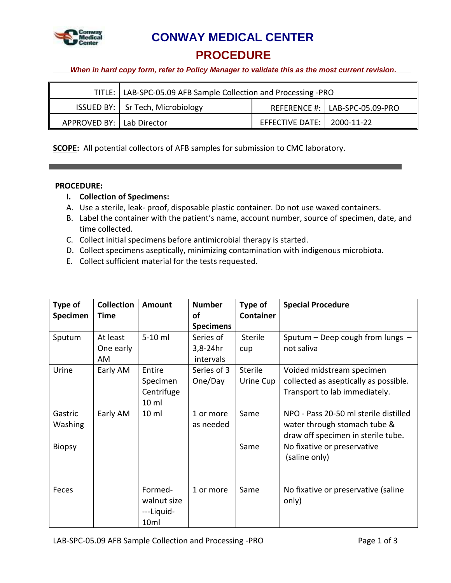

 **CONWAY MEDICAL CENTER**

**PROCEDURE**

*When in hard copy form, refer to Policy Manager to validate this as the most current revision.*

|                             | TITLE:   LAB-SPC-05.09 AFB Sample Collection and Processing -PRO |                              |                                  |
|-----------------------------|------------------------------------------------------------------|------------------------------|----------------------------------|
|                             | <b>ISSUED BY:</b>   Sr Tech, Microbiology                        |                              | REFERENCE #:   LAB-SPC-05.09-PRO |
| APPROVED BY:   Lab Director |                                                                  | EFFECTIVE DATE:   2000-11-22 |                                  |

**SCOPE:** All potential collectors of AFB samples for submission to CMC laboratory.

# **PROCEDURE:**

- **I. Collection of Specimens:**
- A. Use a sterile, leak- proof, disposable plastic container. Do not use waxed containers.
- B. Label the container with the patient's name, account number, source of specimen, date, and time collected.
- C. Collect initial specimens before antimicrobial therapy is started.
- D. Collect specimens aseptically, minimizing contamination with indigenous microbiota.
- E. Collect sufficient material for the tests requested.

| Type of<br>Specimen | <b>Collection</b><br><b>Time</b> | Amount                                                   | <b>Number</b><br>οf<br><b>Specimens</b> | Type of<br><b>Container</b> | <b>Special Procedure</b>                                                                                    |
|---------------------|----------------------------------|----------------------------------------------------------|-----------------------------------------|-----------------------------|-------------------------------------------------------------------------------------------------------------|
| Sputum              | At least<br>One early<br>AM      | 5-10 ml                                                  | Series of<br>$3,8-24hr$<br>intervals    | <b>Sterile</b><br>cup       | Sputum - Deep cough from lungs -<br>not saliva                                                              |
| Urine               | Early AM                         | Entire<br>Specimen<br>Centrifuge<br>10 <sub>m</sub>      | Series of 3<br>One/Day                  | <b>Sterile</b><br>Urine Cup | Voided midstream specimen<br>collected as aseptically as possible.<br>Transport to lab immediately.         |
| Gastric<br>Washing  | Early AM                         | 10 <sub>ml</sub>                                         | 1 or more<br>as needed                  | Same                        | NPO - Pass 20-50 ml sterile distilled<br>water through stomach tube &<br>draw off specimen in sterile tube. |
| <b>Biopsy</b>       |                                  |                                                          |                                         | Same                        | No fixative or preservative<br>(saline only)                                                                |
| Feces               |                                  | Formed-<br>walnut size<br>---Liquid-<br>10 <sub>ml</sub> | 1 or more                               | Same                        | No fixative or preservative (saline<br>only)                                                                |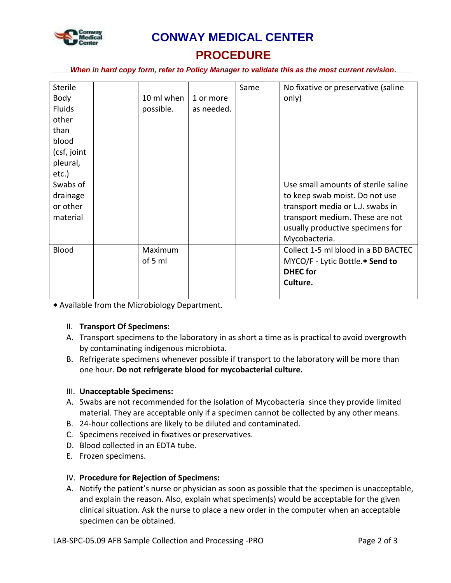

# **CONWAY MEDICAL CENTER**

# **PROCEDURE**

*When in hard copy form, refer to Policy Manager to validate this as the most current revision.*

| <b>Sterile</b> |            |            | Same | No fixative or preservative (saline |
|----------------|------------|------------|------|-------------------------------------|
|                |            |            |      |                                     |
| Body           | 10 ml when | 1 or more  |      | only)                               |
| <b>Fluids</b>  | possible.  | as needed. |      |                                     |
| other          |            |            |      |                                     |
| than           |            |            |      |                                     |
| blood          |            |            |      |                                     |
| (csf, joint    |            |            |      |                                     |
| pleural,       |            |            |      |                                     |
| etc.)          |            |            |      |                                     |
| Swabs of       |            |            |      | Use small amounts of sterile saline |
| drainage       |            |            |      | to keep swab moist. Do not use      |
| or other       |            |            |      | transport media or L.J. swabs in    |
| material       |            |            |      | transport medium. These are not     |
|                |            |            |      | usually productive specimens for    |
|                |            |            |      | Mycobacteria.                       |
| <b>Blood</b>   | Maximum    |            |      | Collect 1-5 ml blood in a BD BACTEC |
|                | of 5 ml    |            |      | MYCO/F - Lytic Bottle.* Send to     |
|                |            |            |      | <b>DHEC</b> for                     |
|                |            |            |      | Culture.                            |
|                |            |            |      |                                     |

Available from the Microbiology Department.

# II. **Transport Of Specimens:**

- A. Transport specimens to the laboratory in as short a time as is practical to avoid overgrowth by contaminating indigenous microbiota.
- B. Refrigerate specimens whenever possible if transport to the laboratory will be more than one hour. **Do not refrigerate blood for mycobacterial culture.**

# III. **Unacceptable Specimens:**

- A. Swabs are not recommended for the isolation of Mycobacteria since they provide limited material. They are acceptable only if a specimen cannot be collected by any other means.
- B. 24-hour collections are likely to be diluted and contaminated.
- C. Specimens received in fixatives or preservatives.
- D. Blood collected in an EDTA tube.
- E. Frozen specimens.

# IV. **Procedure for Rejection of Specimens:**

A. Notify the patient's nurse or physician as soon as possible that the specimen is unacceptable, and explain the reason. Also, explain what specimen(s) would be acceptable for the given clinical situation. Ask the nurse to place a new order in the computer when an acceptable specimen can be obtained.